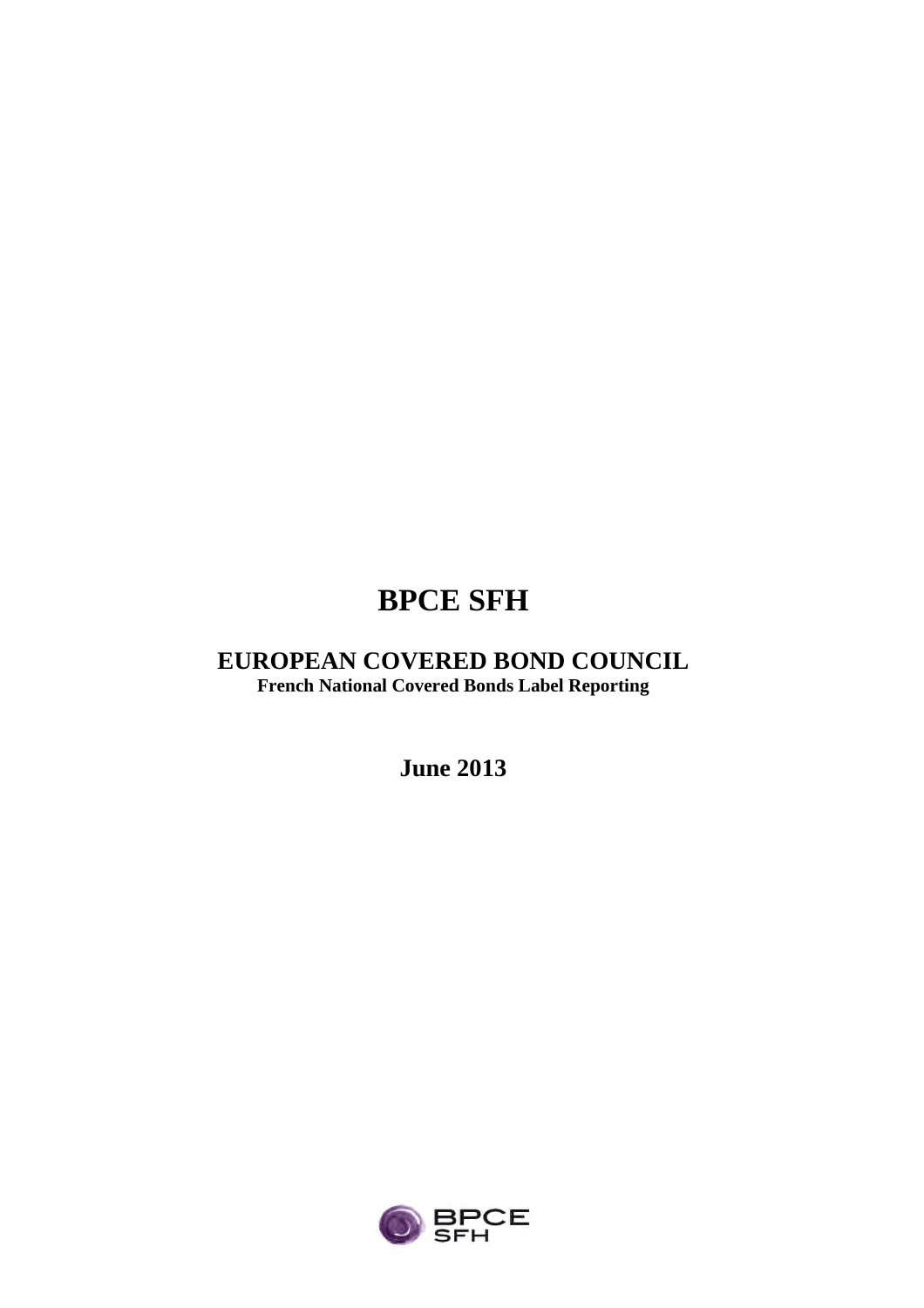# **BPCE SFH**

## **EUROPEAN COVERED BOND COUNCIL French National Covered Bonds Label Reporting**

**June 2013**

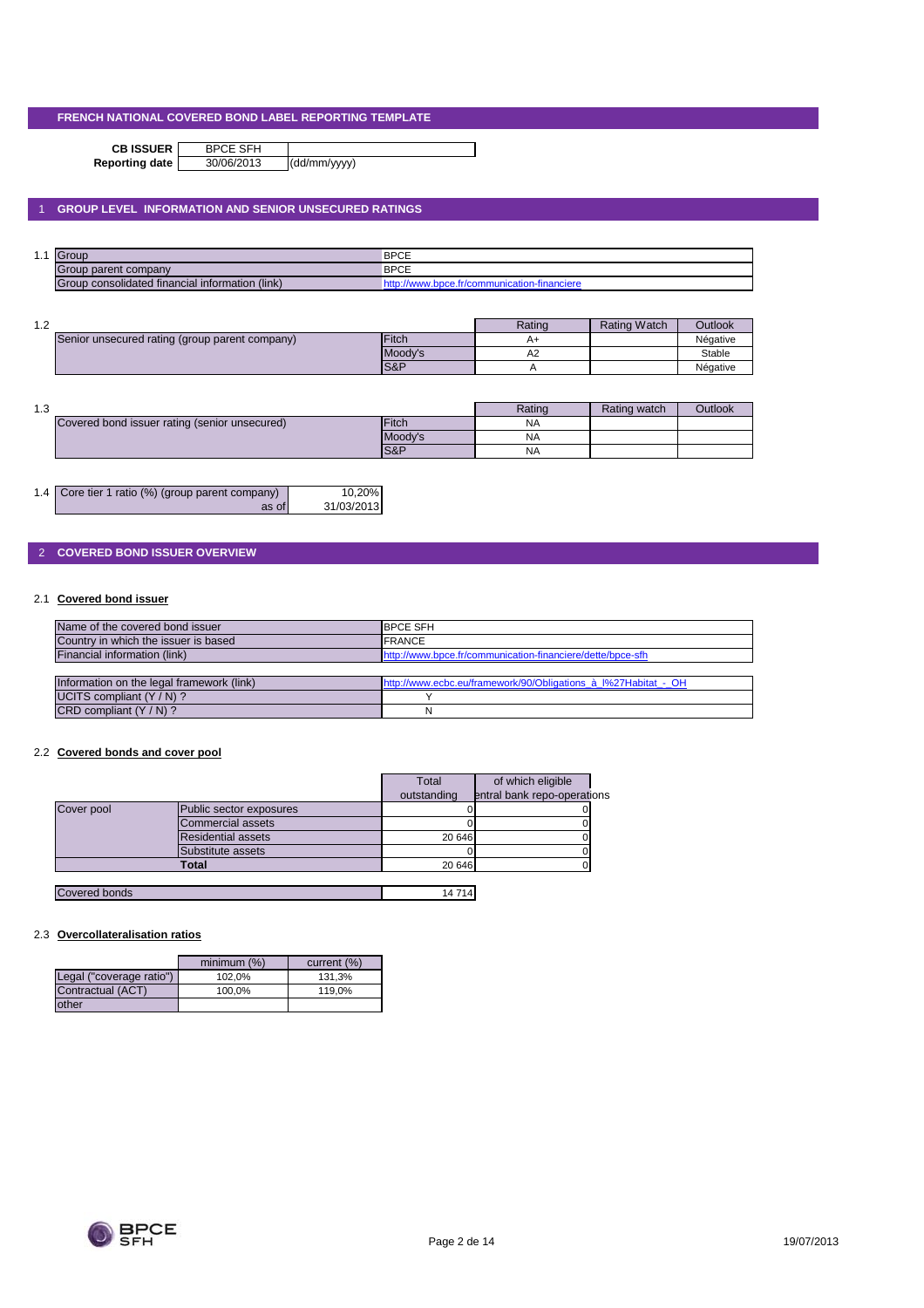**CB ISSUER** BPCE SFH<br>porting date 30/06/2013

**Reporting date** 30/06/2013 (dd/mm/yyyy)

## 1 **GROUP LEVEL INFORMATION AND SENIOR UNSECURED RATINGS**

| . .<br>. | $\sqrt{ }$                                         | <b>BPCE</b>  |
|----------|----------------------------------------------------|--------------|
|          | ┏<br>roup parent company                           | <b>BPCE</b>  |
|          | (link)<br>Group consolidated financial information | www.dd<br>лп |

| 1 ^<br>ے. ا |                                                |               | Rating | <b>Rating Watch</b> | Outlook  |
|-------------|------------------------------------------------|---------------|--------|---------------------|----------|
|             | Senior unsecured rating (group parent company) | <b>IFitch</b> | $A+$   |                     | Négative |
|             |                                                | Moody's       | ΑZ     |                     | Stable   |
|             |                                                | IS&P          |        |                     | Négative |

| 1. 2<br>ن ۱۰ |                                               |               | Rating    | Rating watch | <b>Outlook</b> |
|--------------|-----------------------------------------------|---------------|-----------|--------------|----------------|
|              | Covered bond issuer rating (senior unsecured) | <b>IFitch</b> | <b>NA</b> |              |                |
|              |                                               | Moody's       | <b>NA</b> |              |                |
|              |                                               | IS&P          | <b>NA</b> |              |                |

| 1.4 Core tier 1 ratio (%) (group parent company) | 10,20%     |
|--------------------------------------------------|------------|
| as of                                            | 31/03/2013 |

## 2 **COVERED BOND ISSUER OVERVIEW**

## 2.1 **Covered bond issuer**

| Name of the covered bond issuer           | <b>IBPCE SFH</b>                                               |
|-------------------------------------------|----------------------------------------------------------------|
| Country in which the issuer is based      | <b>IFRANCE</b>                                                 |
| Financial information (link)              | http://www.bpce.fr/communication-financiere/dette/bpce-sfh     |
|                                           |                                                                |
| Information on the legal framework (link) | http://www.ecbc.eu/framework/90/Obligations à l%27Habitat - OH |
| UCITS compliant $(Y/N)$ ?                 |                                                                |
| CRD compliant (Y / N) ?                   |                                                                |

#### 2.2 **Covered bonds and cover pool**

|               |                           | Total       | of which eligible           |  |
|---------------|---------------------------|-------------|-----------------------------|--|
|               |                           | outstanding | entral bank repo-operations |  |
| Cover pool    | Public sector exposures   |             |                             |  |
|               | Commercial assets         |             |                             |  |
|               | <b>Residential assets</b> | 20 646      |                             |  |
|               | Substitute assets         |             |                             |  |
|               | Total                     | 20 646      |                             |  |
|               |                           |             |                             |  |
| Covered bonds |                           | 14714       |                             |  |

#### 2.3 **Overcollateralisation ratios**

|                          | minimum (%) | current (%) |
|--------------------------|-------------|-------------|
| Legal ("coverage ratio") | 102.0%      | 131.3%      |
| Contractual (ACT)        | 100.0%      | 119.0%      |
| other                    |             |             |

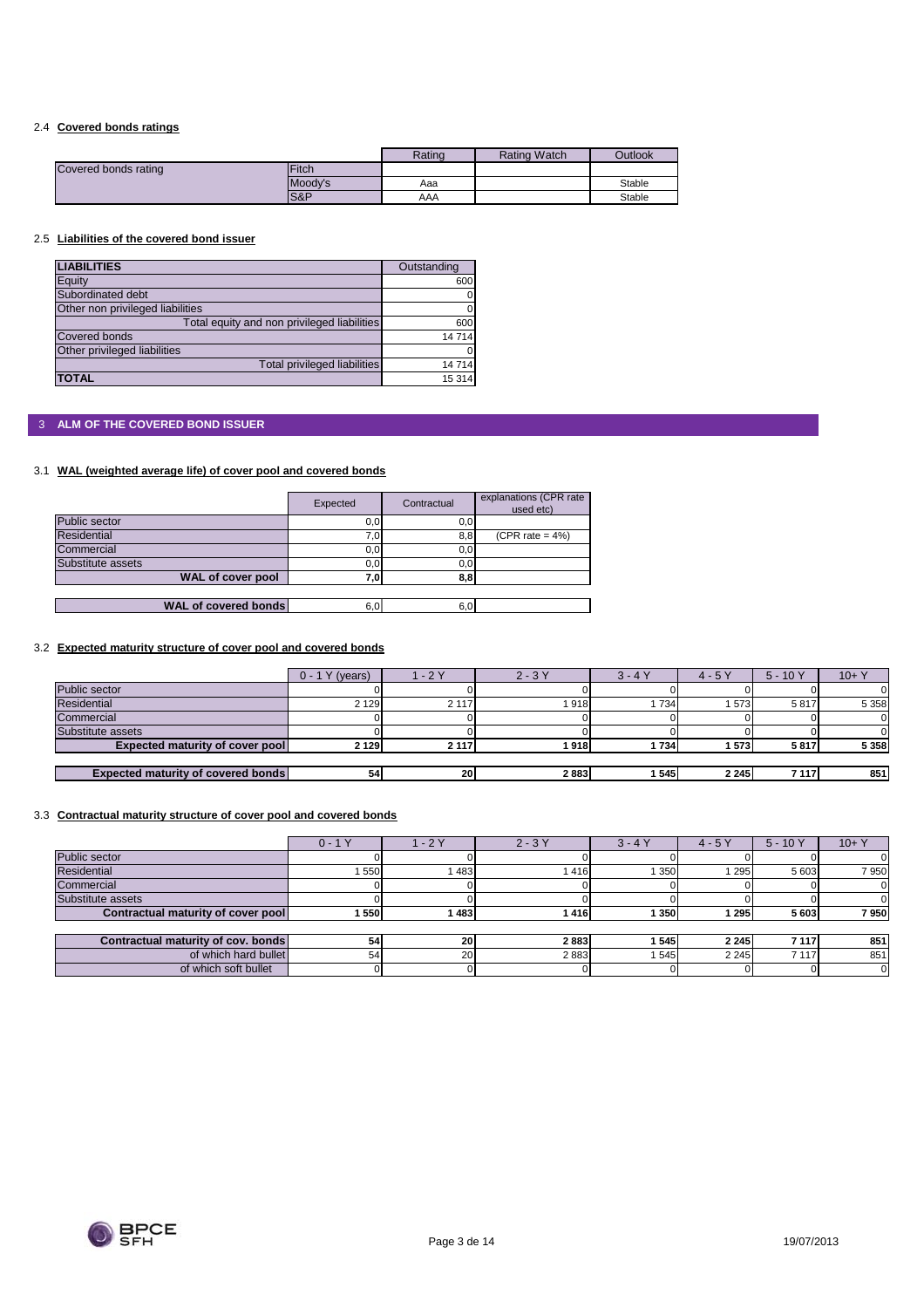## 2.4 **Covered bonds ratings**

|                      |         | Rating | <b>Rating Watch</b> | <b>Outlook</b> |
|----------------------|---------|--------|---------------------|----------------|
| Covered bonds rating | Fitch   |        |                     |                |
|                      | Moody's | Aaa    |                     | Stable         |
|                      | S&P     | AAA    |                     | Stable         |

#### 2.5 **Liabilities of the covered bond issuer**

| <b>LIABILITIES</b>                          | Outstanding |
|---------------------------------------------|-------------|
| Equity                                      | 600         |
| Subordinated debt                           |             |
| Other non privileged liabilities            |             |
| Total equity and non privileged liabilities | 600         |
| <b>Covered bonds</b>                        | 14714       |
| Other privileged liabilities                |             |
| Total privileged liabilities                | 14714       |
| <b>TOTAL</b>                                | 15 3 14     |

## 3 **ALM OF THE COVERED BOND ISSUER**

## 3.1 **WAL (weighted average life) of cover pool and covered bonds**

|                             | Expected | Contractual | explanations (CPR rate<br>used etc) |
|-----------------------------|----------|-------------|-------------------------------------|
| Public sector               | 0,0      | 0,0         |                                     |
| <b>Residential</b>          | 7,0      | 8,8         | (CPR rate = $4\%$ )                 |
| Commercial                  | 0,0      | 0,0         |                                     |
| Substitute assets           | 0,0      | 0,0         |                                     |
| <b>WAL of cover pool</b>    | 7,0      | 8,8         |                                     |
|                             |          |             |                                     |
| <b>WAL of covered bonds</b> | 6,0      | 6,0         |                                     |

## 3.2 **Expected maturity structure of cover pool and covered bonds**

|                                           | $0 - 1Y$<br>(years) | $-2Y$   | $2 - 3Y$ | $3 - 4Y$ | $4 - 5Y$ | $5 - 10Y$ | $10+Y$  |
|-------------------------------------------|---------------------|---------|----------|----------|----------|-----------|---------|
| Public sector                             |                     |         |          |          |          |           |         |
| <b>Residential</b>                        | 2 1 2 9             | 2 1 1 7 | 1918     | 734      | 1573     | 5817      | 5 3 5 8 |
| Commercial                                |                     |         |          |          |          |           |         |
| Substitute assets                         |                     |         |          |          |          |           |         |
| <b>Expected maturity of cover pool</b>    | 2 1 2 9             | 2 1 1 7 | 1918     | 734      | 1573     | 5817      | 5 3 5 8 |
|                                           |                     |         |          |          |          |           |         |
| <b>Expected maturity of covered bonds</b> | 54 <sub>1</sub>     | 20      | 2883     | 545      | 2 2 4 5  | 7 1 1 7   | 8511    |

#### 3.3 **Contractual maturity structure of cover pool and covered bonds**

|                                    | $0 - 1Y$ | $-2Y$     | $2 - 3Y$ | $3 - 4Y$ | $4 - 5Y$ | $5 - 10Y$ | $10 + Y$ |
|------------------------------------|----------|-----------|----------|----------|----------|-----------|----------|
| Public sector                      |          |           |          |          |          |           |          |
| <b>Residential</b>                 | 550      | 1483      | 1416     | 350      | 295      | 5 603     | 7950     |
| Commercial                         |          |           |          |          |          |           |          |
| Substitute assets                  |          |           |          |          |          |           |          |
| Contractual maturity of cover pool | 550      | 1483      | 1416     | 350      | 295      | 5 603     | 7950     |
|                                    |          |           |          |          |          |           |          |
| Contractual maturity of cov. bonds | 54       | 20        | 2883     | 545      | 2 2 4 5  | 7 1 1 7   | 851      |
| of which hard bullet               | 54       | <b>20</b> | 2883     | 545      | 2 2 4 5  | 7 1 1 7   | 851      |
| of which soft bullet               |          |           |          |          |          |           |          |



 $\overline{\phantom{a}}$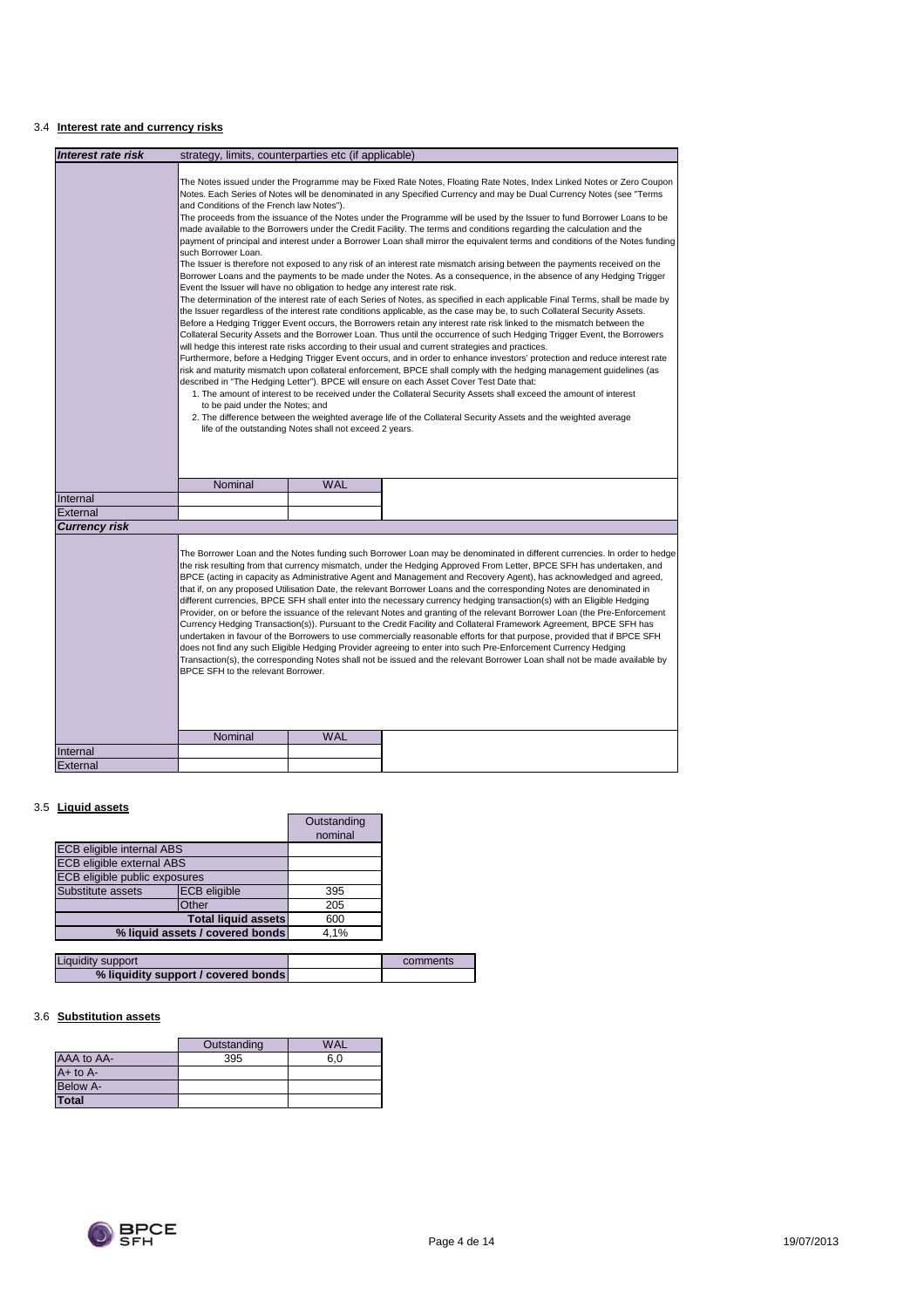## 3.4 **Interest rate and currency risks**

| Interest rate risk               | strategy, limits, counterparties etc (if applicable)                                                                                                                                                                                                                                                                                                                                                                                                                                                                                                                                                                                                                                                                                                                                                                                                                                                                                                                                                                                                                                                                                                                                                                                                                                                                                                                                                                                                                                                                                                                                                                                                                                                                                                                                                                                                                                                                                                                                                                                                                                                                                                                                                                                                                                                                                                   |            |                                                                                                                                                                                                                                                                                                                                                                                                                                                                                                                                                                                                                                                                                                                                                                                                                                                                                                                                                                                                                                                                                                                                                                                                                                                       |
|----------------------------------|--------------------------------------------------------------------------------------------------------------------------------------------------------------------------------------------------------------------------------------------------------------------------------------------------------------------------------------------------------------------------------------------------------------------------------------------------------------------------------------------------------------------------------------------------------------------------------------------------------------------------------------------------------------------------------------------------------------------------------------------------------------------------------------------------------------------------------------------------------------------------------------------------------------------------------------------------------------------------------------------------------------------------------------------------------------------------------------------------------------------------------------------------------------------------------------------------------------------------------------------------------------------------------------------------------------------------------------------------------------------------------------------------------------------------------------------------------------------------------------------------------------------------------------------------------------------------------------------------------------------------------------------------------------------------------------------------------------------------------------------------------------------------------------------------------------------------------------------------------------------------------------------------------------------------------------------------------------------------------------------------------------------------------------------------------------------------------------------------------------------------------------------------------------------------------------------------------------------------------------------------------------------------------------------------------------------------------------------------------|------------|-------------------------------------------------------------------------------------------------------------------------------------------------------------------------------------------------------------------------------------------------------------------------------------------------------------------------------------------------------------------------------------------------------------------------------------------------------------------------------------------------------------------------------------------------------------------------------------------------------------------------------------------------------------------------------------------------------------------------------------------------------------------------------------------------------------------------------------------------------------------------------------------------------------------------------------------------------------------------------------------------------------------------------------------------------------------------------------------------------------------------------------------------------------------------------------------------------------------------------------------------------|
|                                  | The Notes issued under the Programme may be Fixed Rate Notes, Floating Rate Notes, Index Linked Notes or Zero Coupon<br>Notes. Each Series of Notes will be denominated in any Specified Currency and may be Dual Currency Notes (see "Terms<br>and Conditions of the French law Notes").<br>The proceeds from the issuance of the Notes under the Programme will be used by the Issuer to fund Borrower Loans to be<br>made available to the Borrowers under the Credit Facility. The terms and conditions regarding the calculation and the<br>payment of principal and interest under a Borrower Loan shall mirror the equivalent terms and conditions of the Notes funding<br>such Borrower Loan.<br>The Issuer is therefore not exposed to any risk of an interest rate mismatch arising between the payments received on the<br>Borrower Loans and the payments to be made under the Notes. As a consequence, in the absence of any Hedging Trigger<br>Event the Issuer will have no obligation to hedge any interest rate risk.<br>The determination of the interest rate of each Series of Notes, as specified in each applicable Final Terms, shall be made by<br>the Issuer regardless of the interest rate conditions applicable, as the case may be, to such Collateral Security Assets.<br>Before a Hedging Trigger Event occurs, the Borrowers retain any interest rate risk linked to the mismatch between the<br>Collateral Security Assets and the Borrower Loan. Thus until the occurrence of such Hedging Trigger Event, the Borrowers<br>will hedge this interest rate risks according to their usual and current strategies and practices.<br>Furthermore, before a Hedging Trigger Event occurs, and in order to enhance investors' protection and reduce interest rate<br>risk and maturity mismatch upon collateral enforcement, BPCE shall comply with the hedging management guidelines (as<br>described in "The Hedging Letter"). BPCE will ensure on each Asset Cover Test Date that:<br>1. The amount of interest to be received under the Collateral Security Assets shall exceed the amount of interest<br>to be paid under the Notes; and<br>2. The difference between the weighted average life of the Collateral Security Assets and the weighted average<br>life of the outstanding Notes shall not exceed 2 years. |            |                                                                                                                                                                                                                                                                                                                                                                                                                                                                                                                                                                                                                                                                                                                                                                                                                                                                                                                                                                                                                                                                                                                                                                                                                                                       |
|                                  | Nominal                                                                                                                                                                                                                                                                                                                                                                                                                                                                                                                                                                                                                                                                                                                                                                                                                                                                                                                                                                                                                                                                                                                                                                                                                                                                                                                                                                                                                                                                                                                                                                                                                                                                                                                                                                                                                                                                                                                                                                                                                                                                                                                                                                                                                                                                                                                                                | <b>WAL</b> |                                                                                                                                                                                                                                                                                                                                                                                                                                                                                                                                                                                                                                                                                                                                                                                                                                                                                                                                                                                                                                                                                                                                                                                                                                                       |
| Internal                         |                                                                                                                                                                                                                                                                                                                                                                                                                                                                                                                                                                                                                                                                                                                                                                                                                                                                                                                                                                                                                                                                                                                                                                                                                                                                                                                                                                                                                                                                                                                                                                                                                                                                                                                                                                                                                                                                                                                                                                                                                                                                                                                                                                                                                                                                                                                                                        |            |                                                                                                                                                                                                                                                                                                                                                                                                                                                                                                                                                                                                                                                                                                                                                                                                                                                                                                                                                                                                                                                                                                                                                                                                                                                       |
| External<br><b>Currency risk</b> |                                                                                                                                                                                                                                                                                                                                                                                                                                                                                                                                                                                                                                                                                                                                                                                                                                                                                                                                                                                                                                                                                                                                                                                                                                                                                                                                                                                                                                                                                                                                                                                                                                                                                                                                                                                                                                                                                                                                                                                                                                                                                                                                                                                                                                                                                                                                                        |            |                                                                                                                                                                                                                                                                                                                                                                                                                                                                                                                                                                                                                                                                                                                                                                                                                                                                                                                                                                                                                                                                                                                                                                                                                                                       |
|                                  | BPCE SFH to the relevant Borrower.                                                                                                                                                                                                                                                                                                                                                                                                                                                                                                                                                                                                                                                                                                                                                                                                                                                                                                                                                                                                                                                                                                                                                                                                                                                                                                                                                                                                                                                                                                                                                                                                                                                                                                                                                                                                                                                                                                                                                                                                                                                                                                                                                                                                                                                                                                                     |            | The Borrower Loan and the Notes funding such Borrower Loan may be denominated in different currencies. In order to hedge<br>the risk resulting from that currency mismatch, under the Hedging Approved From Letter, BPCE SFH has undertaken, and<br>BPCE (acting in capacity as Administrative Agent and Management and Recovery Agent), has acknowledged and agreed,<br>that if, on any proposed Utilisation Date, the relevant Borrower Loans and the corresponding Notes are denominated in<br>different currencies, BPCE SFH shall enter into the necessary currency hedging transaction(s) with an Eligible Hedging<br>Provider, on or before the issuance of the relevant Notes and granting of the relevant Borrower Loan (the Pre-Enforcement<br>Currency Hedging Transaction(s)). Pursuant to the Credit Facility and Collateral Framework Agreement, BPCE SFH has<br>undertaken in favour of the Borrowers to use commercially reasonable efforts for that purpose, provided that if BPCE SFH<br>does not find any such Eligible Hedging Provider agreeing to enter into such Pre-Enforcement Currency Hedging<br>Transaction(s), the corresponding Notes shall not be issued and the relevant Borrower Loan shall not be made available by |
|                                  | Nominal                                                                                                                                                                                                                                                                                                                                                                                                                                                                                                                                                                                                                                                                                                                                                                                                                                                                                                                                                                                                                                                                                                                                                                                                                                                                                                                                                                                                                                                                                                                                                                                                                                                                                                                                                                                                                                                                                                                                                                                                                                                                                                                                                                                                                                                                                                                                                | <b>WAL</b> |                                                                                                                                                                                                                                                                                                                                                                                                                                                                                                                                                                                                                                                                                                                                                                                                                                                                                                                                                                                                                                                                                                                                                                                                                                                       |
| Internal                         |                                                                                                                                                                                                                                                                                                                                                                                                                                                                                                                                                                                                                                                                                                                                                                                                                                                                                                                                                                                                                                                                                                                                                                                                                                                                                                                                                                                                                                                                                                                                                                                                                                                                                                                                                                                                                                                                                                                                                                                                                                                                                                                                                                                                                                                                                                                                                        |            |                                                                                                                                                                                                                                                                                                                                                                                                                                                                                                                                                                                                                                                                                                                                                                                                                                                                                                                                                                                                                                                                                                                                                                                                                                                       |
| External                         |                                                                                                                                                                                                                                                                                                                                                                                                                                                                                                                                                                                                                                                                                                                                                                                                                                                                                                                                                                                                                                                                                                                                                                                                                                                                                                                                                                                                                                                                                                                                                                                                                                                                                                                                                                                                                                                                                                                                                                                                                                                                                                                                                                                                                                                                                                                                                        |            |                                                                                                                                                                                                                                                                                                                                                                                                                                                                                                                                                                                                                                                                                                                                                                                                                                                                                                                                                                                                                                                                                                                                                                                                                                                       |

## 3.5 **Liquid assets**

|                                  |                     | Outstanding<br>nominal |  |
|----------------------------------|---------------------|------------------------|--|
| <b>ECB eligible internal ABS</b> |                     |                        |  |
| <b>ECB eligible external ABS</b> |                     |                        |  |
| ECB eligible public exposures    |                     |                        |  |
| Substitute assets                | <b>ECB</b> eligible | 395                    |  |
| Other                            |                     | 205                    |  |
| <b>Total liquid assets</b>       |                     | 600                    |  |
| % liquid assets / covered bonds  |                     | 4.1%                   |  |

| <b>Liquidity support</b>            | comments |
|-------------------------------------|----------|
| % liquidity support / covered bonds |          |

## 3.6 **Substitution assets**

|                 | Outstanding | <b>WAL</b> |
|-----------------|-------------|------------|
| AAA to AA-      | 395         | 6.0        |
| $A+$ to $A-$    |             |            |
| <b>Below A-</b> |             |            |
| <b>Total</b>    |             |            |

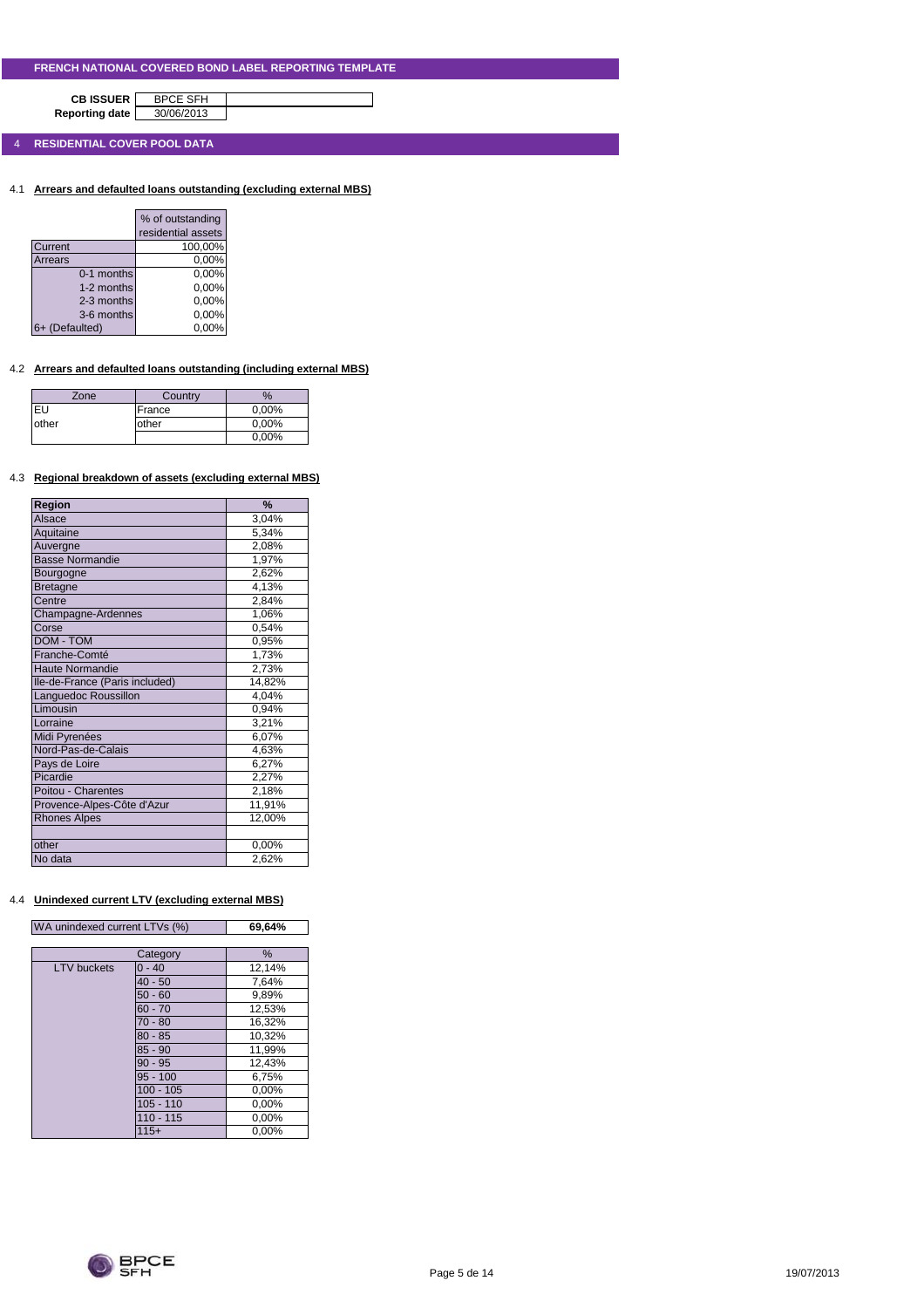**CB ISSUER** BPCE SFH<br>porting date 30/06/2013 **Reporting date** 

4 **RESIDENTIAL COVER POOL DATA**

4.1 **Arrears and defaulted loans outstanding (excluding external MBS)**

|                | % of outstanding   |
|----------------|--------------------|
|                | residential assets |
| Current        | 100,00%            |
| Arrears        | 0,00%              |
| 0-1 months     | 0,00%              |
| 1-2 months     | 0,00%              |
| 2-3 months     | 0,00%              |
| 3-6 months     | 0,00%              |
| 6+ (Defaulted) | 0.00%              |

## 4.2 **Arrears and defaulted loans outstanding (including external MBS)**

| Zone  | Country | $\%$  |
|-------|---------|-------|
| EU    | France  | 0,00% |
| other | other   | 0,00% |
|       |         | 0,00% |

#### 4.3 **Regional breakdown of assets (excluding external MBS)**

| Region                         | %      |
|--------------------------------|--------|
| Alsace                         | 3,04%  |
| Aquitaine                      | 5,34%  |
| Auvergne                       | 2,08%  |
| <b>Basse Normandie</b>         | 1,97%  |
| Bourgogne                      | 2,62%  |
| <b>Bretagne</b>                | 4,13%  |
| Centre                         | 2,84%  |
| Champagne-Ardennes             | 1,06%  |
| Corse                          | 0,54%  |
| <b>DOM - TOM</b>               | 0,95%  |
| Franche-Comté                  | 1,73%  |
| <b>Haute Normandie</b>         | 2,73%  |
| Ile-de-France (Paris included) | 14,82% |
| Languedoc Roussillon           | 4,04%  |
| Limousin                       | 0,94%  |
| Lorraine                       | 3,21%  |
| Midi Pyrenées                  | 6,07%  |
| Nord-Pas-de-Calais             | 4,63%  |
| Pays de Loire                  | 6,27%  |
| Picardie                       | 2,27%  |
| Poitou - Charentes             | 2,18%  |
| Provence-Alpes-Côte d'Azur     | 11,91% |
| <b>Rhones Alpes</b>            | 12,00% |
|                                |        |
| other                          | 0,00%  |
| No data                        | 2,62%  |

## 4.4 **Unindexed current LTV (excluding external MBS)**

| WA unindexed current LTVs (%) | 69,64% |
|-------------------------------|--------|

|                    | Category    | %      |
|--------------------|-------------|--------|
| <b>LTV</b> buckets | $0 - 40$    | 12,14% |
|                    | $40 - 50$   | 7,64%  |
|                    | $50 - 60$   | 9,89%  |
|                    | $60 - 70$   | 12,53% |
|                    | $70 - 80$   | 16,32% |
|                    | $80 - 85$   | 10,32% |
|                    | $85 - 90$   | 11,99% |
|                    | $90 - 95$   | 12,43% |
|                    | $95 - 100$  | 6,75%  |
|                    | $100 - 105$ | 0,00%  |
|                    | $105 - 110$ | 0,00%  |
|                    | $110 - 115$ | 0,00%  |
|                    | $115+$      | 0.00%  |

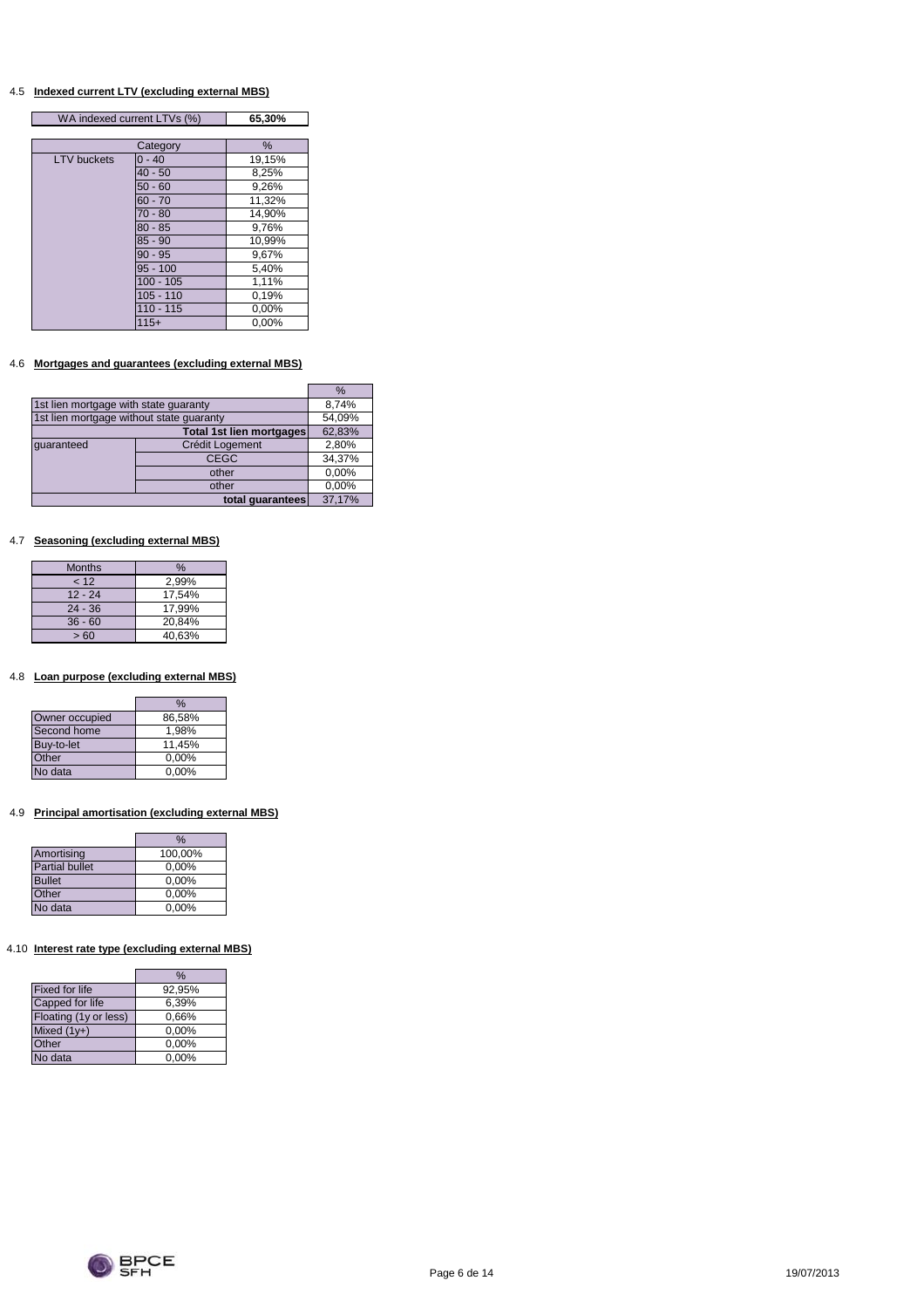#### 4.5 **Indexed current LTV (excluding external MBS)**

| WA indexed current LTVs (%) |             | 65,30% |  |
|-----------------------------|-------------|--------|--|
|                             |             |        |  |
|                             | Category    | %      |  |
| <b>LTV</b> buckets          | $0 - 40$    | 19,15% |  |
|                             | $40 - 50$   | 8,25%  |  |
|                             | $50 - 60$   | 9,26%  |  |
|                             | $60 - 70$   | 11,32% |  |
|                             | $70 - 80$   | 14,90% |  |
|                             | $80 - 85$   | 9,76%  |  |
|                             | $85 - 90$   | 10,99% |  |
|                             | $90 - 95$   | 9,67%  |  |
|                             | $95 - 100$  | 5,40%  |  |
|                             | $100 - 105$ | 1,11%  |  |
|                             | $105 - 110$ | 0,19%  |  |
|                             | $110 - 115$ | 0,00%  |  |
|                             | $115+$      | 0,00%  |  |

## 4.6 **Mortgages and guarantees (excluding external MBS)**

|                                          |                          | $\%$   |
|------------------------------------------|--------------------------|--------|
| 1st lien mortgage with state guaranty    | 8,74%                    |        |
| 1st lien mortgage without state quaranty |                          | 54,09% |
|                                          | Total 1st lien mortgages | 62,83% |
| quaranteed                               | Crédit Logement          | 2,80%  |
|                                          | <b>CEGC</b>              | 34,37% |
|                                          | other                    | 0,00%  |
|                                          | other                    | 0,00%  |
|                                          | total quarantees         | 37,17% |

#### 4.7 **Seasoning (excluding external MBS)**

| <b>Months</b> | $\%$   |
|---------------|--------|
| < 12          | 2,99%  |
| $12 - 24$     | 17.54% |
| $24 - 36$     | 17.99% |
| $36 - 60$     | 20,84% |
| >60           | 40,63% |

#### 4.8 **Loan purpose (excluding external MBS)**

|                | %        |
|----------------|----------|
| Owner occupied | 86,58%   |
| Second home    | 1.98%    |
| Buy-to-let     | 11.45%   |
| Other          | 0,00%    |
| No data        | $0.00\%$ |

## 4.9 **Principal amortisation (excluding external MBS)**

|                       | %       |
|-----------------------|---------|
| Amortising            | 100,00% |
| <b>Partial bullet</b> | 0,00%   |
| <b>Bullet</b>         | 0,00%   |
| Other                 | 0,00%   |
| No data               | 0,00%   |

## 4.10 **Interest rate type (excluding external MBS)**

I

|                       | %        |
|-----------------------|----------|
| <b>Fixed for life</b> | 92,95%   |
| Capped for life       | 6,39%    |
| Floating (1y or less) | 0.66%    |
| Mixed $(1y+)$         | 0,00%    |
| Other                 | 0,00%    |
| <b>Vo data</b>        | $0.00\%$ |

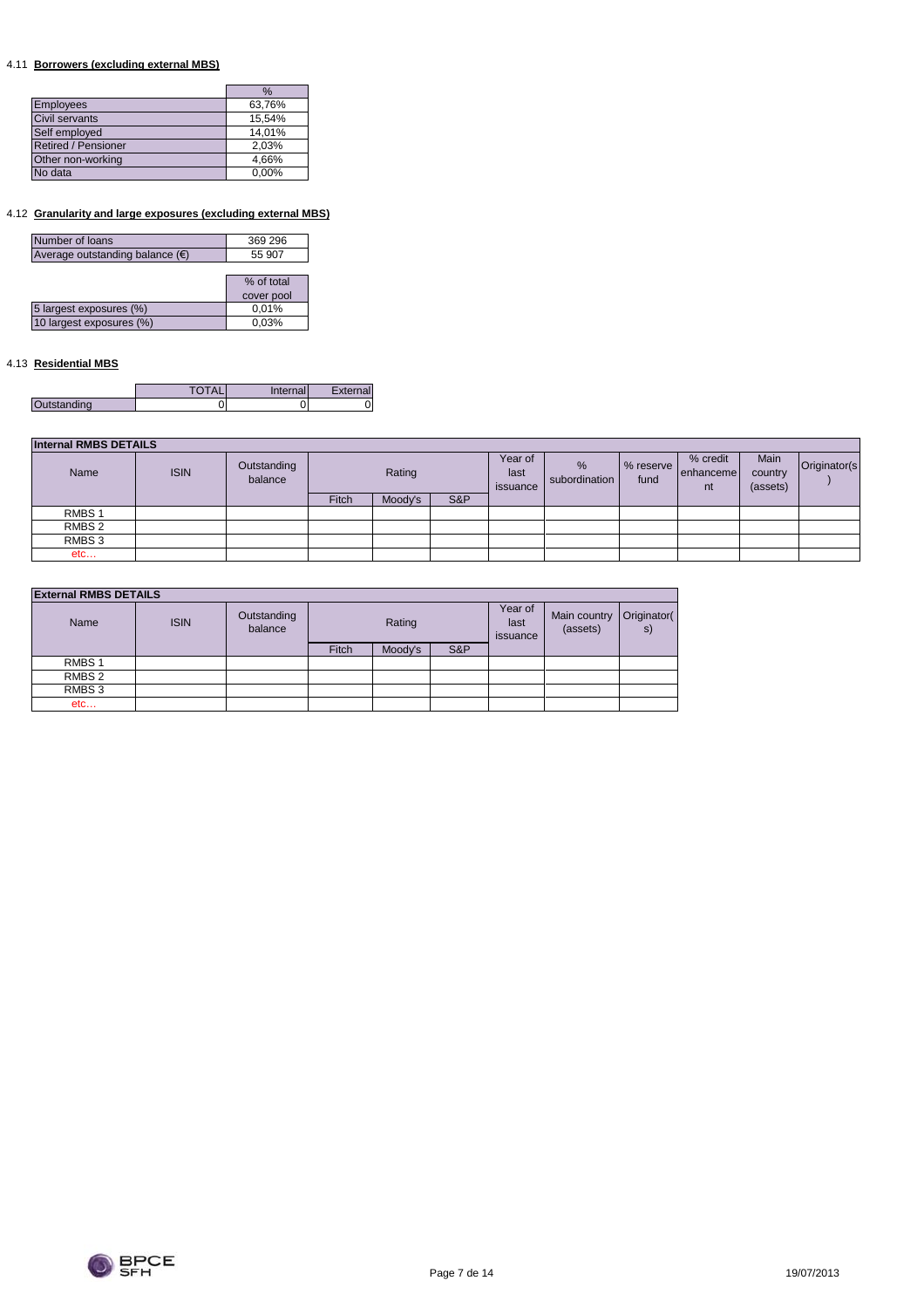## 4.11 **Borrowers (excluding external MBS)**

|                     | $\%$   |
|---------------------|--------|
| <b>Employees</b>    | 63,76% |
| Civil servants      | 15,54% |
| Self employed       | 14,01% |
| Retired / Pensioner | 2,03%  |
| Other non-working   | 4,66%  |
| No data             | 0,00%  |

## 4.12 **Granularity and large exposures (excluding external MBS)**

| Number of loans                          | 369 296    |
|------------------------------------------|------------|
| Average outstanding balance $(\epsilon)$ | 55 907     |
|                                          |            |
|                                          | % of total |
|                                          | cover pool |
| 5 largest exposures (%)                  | 0,01%      |
| 10 largest exposures (%)                 | 0,03%      |
|                                          |            |

## 4.13 **Residential MBS**

|             | Inter<br>hall | External |
|-------------|---------------|----------|
| Outstanding |               |          |

| <b>Internal RMBS DETAILS</b> |             |                        |        |         |                             |                    |                   |                             |                             |               |  |
|------------------------------|-------------|------------------------|--------|---------|-----------------------------|--------------------|-------------------|-----------------------------|-----------------------------|---------------|--|
| Name                         | <b>ISIN</b> | Outstanding<br>balance | Rating |         | Year of<br>last<br>issuance | %<br>subordination | % reserve<br>fund | % credit<br>enhanceme<br>nt | Main<br>country<br>(assets) | Originator(s) |  |
|                              |             |                        | Fitch  | Moody's | S&P                         |                    |                   |                             |                             |               |  |
| RMBS <sub>1</sub>            |             |                        |        |         |                             |                    |                   |                             |                             |               |  |
| RMBS 2                       |             |                        |        |         |                             |                    |                   |                             |                             |               |  |
| RMBS 3                       |             |                        |        |         |                             |                    |                   |                             |                             |               |  |
| etc                          |             |                        |        |         |                             |                    |                   |                             |                             |               |  |

| <b>External RMBS DETAILS</b> |
|------------------------------|
|------------------------------|

| Name              | <b>ISIN</b> | Outstanding<br>balance | Rating |         |     |  |  |  | Year of<br>last<br>issuance | Main country<br>(assets) | Originator(<br>s) |
|-------------------|-------------|------------------------|--------|---------|-----|--|--|--|-----------------------------|--------------------------|-------------------|
|                   |             |                        | Fitch  | Moody's | S&P |  |  |  |                             |                          |                   |
| RMBS <sub>1</sub> |             |                        |        |         |     |  |  |  |                             |                          |                   |
| RMBS 2            |             |                        |        |         |     |  |  |  |                             |                          |                   |
| RMBS 3            |             |                        |        |         |     |  |  |  |                             |                          |                   |
| etc               |             |                        |        |         |     |  |  |  |                             |                          |                   |

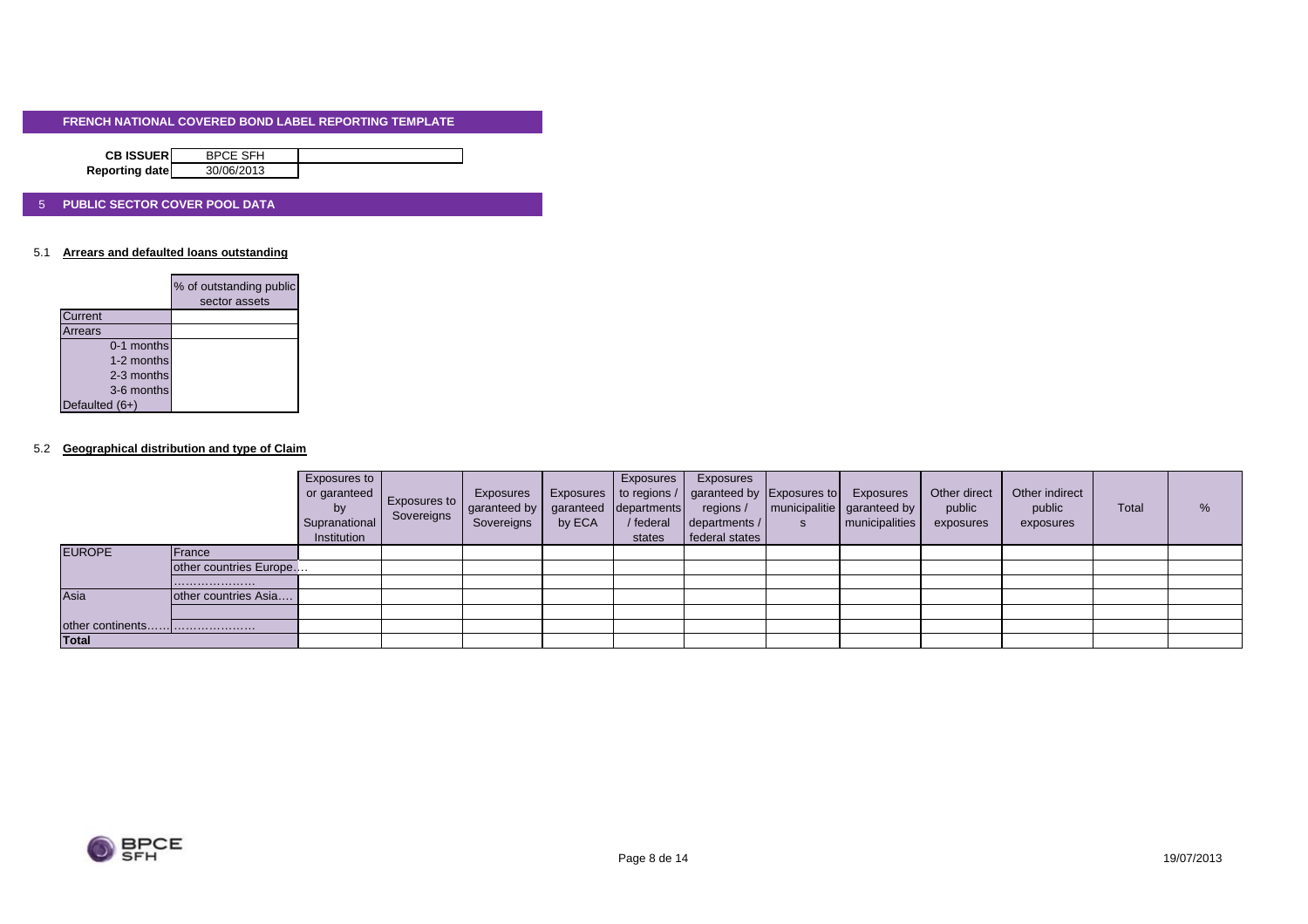| <b>CB ISSUERI</b> | <b>BPCE SFH</b> |  |
|-------------------|-----------------|--|
| Reporting date    | 30/06/2013      |  |

#### 5 **PUBLIC SECTOR COVER POOL DATA**

#### 5.1 **Arrears and defaulted loans outstanding**

|                | % of outstanding public<br>sector assets |
|----------------|------------------------------------------|
|                |                                          |
| <b>Current</b> |                                          |
| Arrears        |                                          |
| 0-1 months     |                                          |
| 1-2 months     |                                          |
| 2-3 months     |                                          |
| 3-6 months     |                                          |
| Defaulted (6+) |                                          |

#### 5.2 **Geographical distribution and type of Claim**

|               |                        | Exposures to<br>or garanteed<br>by<br>Supranational<br>Institution | <b>Exposures to</b><br>Sovereigns | Exposures<br>garanteed by<br>Sovereigns | by ECA | Exposures<br>garanteed departments<br>/ federal<br>states | Exposures<br>Exposures   to regions /   garanteed by Exposures to<br>regions /<br>departments /<br>federal states | Exposures<br>  municipalitie   garanteed by<br>municipalities | Other direct<br>public<br>exposures | Other indirect<br>public<br>exposures | <b>Total</b> | % |
|---------------|------------------------|--------------------------------------------------------------------|-----------------------------------|-----------------------------------------|--------|-----------------------------------------------------------|-------------------------------------------------------------------------------------------------------------------|---------------------------------------------------------------|-------------------------------------|---------------------------------------|--------------|---|
| <b>EUROPE</b> | <b>France</b>          |                                                                    |                                   |                                         |        |                                                           |                                                                                                                   |                                                               |                                     |                                       |              |   |
|               | other countries Europe |                                                                    |                                   |                                         |        |                                                           |                                                                                                                   |                                                               |                                     |                                       |              |   |
|               |                        |                                                                    |                                   |                                         |        |                                                           |                                                                                                                   |                                                               |                                     |                                       |              |   |
| Asia          | other countries Asia   |                                                                    |                                   |                                         |        |                                                           |                                                                                                                   |                                                               |                                     |                                       |              |   |
|               |                        |                                                                    |                                   |                                         |        |                                                           |                                                                                                                   |                                                               |                                     |                                       |              |   |
|               |                        |                                                                    |                                   |                                         |        |                                                           |                                                                                                                   |                                                               |                                     |                                       |              |   |
| <b>Total</b>  |                        |                                                                    |                                   |                                         |        |                                                           |                                                                                                                   |                                                               |                                     |                                       |              |   |

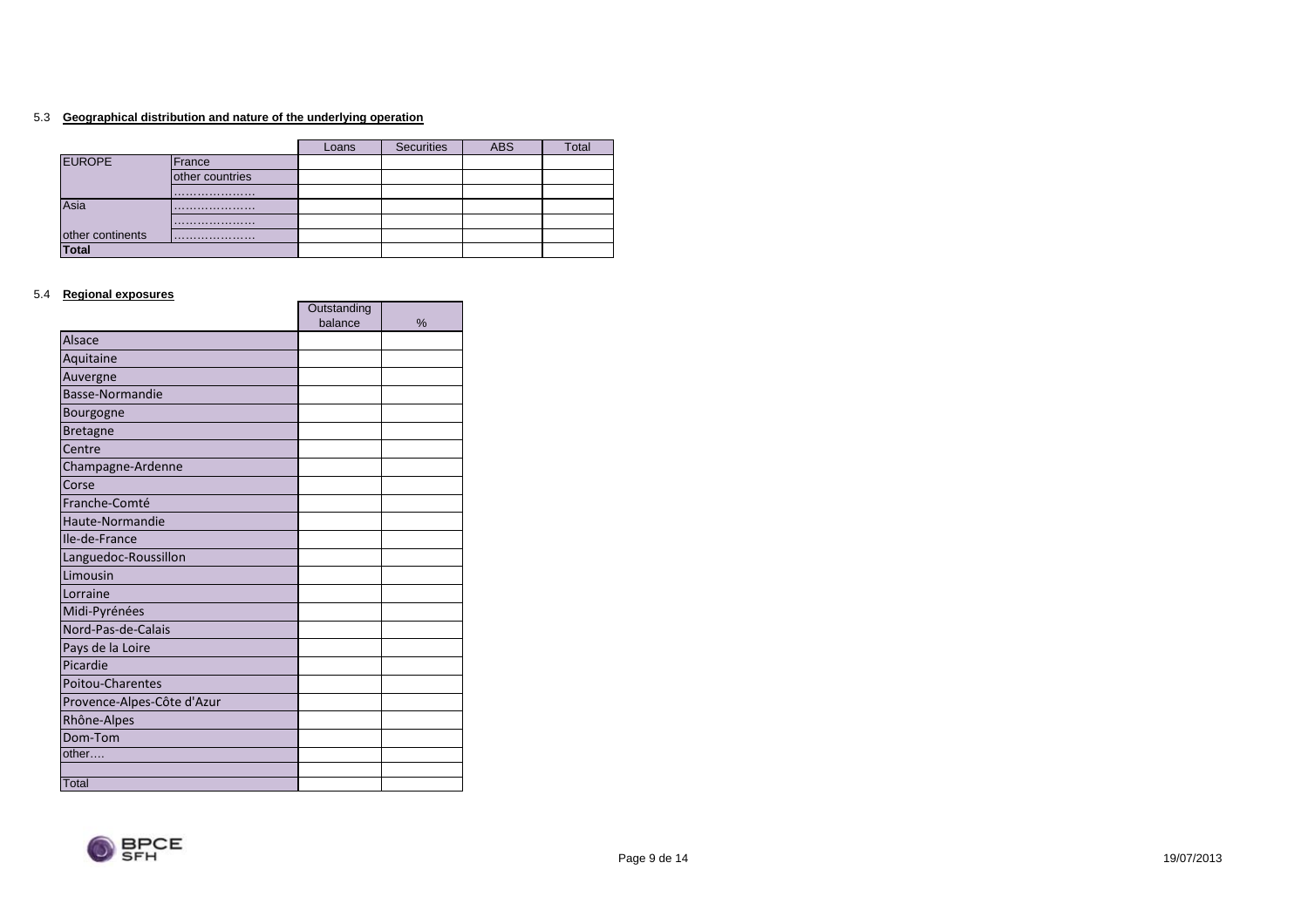#### 5.3 **Geographical distribution and nature of the underlying operation**

|                  |                 | Loans | <b>Securities</b> | <b>ABS</b> | Total |
|------------------|-----------------|-------|-------------------|------------|-------|
| <b>EUROPE</b>    | France          |       |                   |            |       |
|                  | other countries |       |                   |            |       |
|                  |                 |       |                   |            |       |
| Asia             |                 |       |                   |            |       |
|                  |                 |       |                   |            |       |
| other continents |                 |       |                   |            |       |
| Total            |                 |       |                   |            |       |

#### 5.4 **Regional exposures**

|                            | Outstanding |   |
|----------------------------|-------------|---|
|                            | balance     | % |
| <b>Alsace</b>              |             |   |
| Aquitaine                  |             |   |
| Auvergne                   |             |   |
| Basse-Normandie            |             |   |
| Bourgogne                  |             |   |
| <b>Bretagne</b>            |             |   |
| Centre                     |             |   |
| Champagne-Ardenne          |             |   |
| Corse                      |             |   |
| Franche-Comté              |             |   |
| Haute-Normandie            |             |   |
| Ile-de-France              |             |   |
| Languedoc-Roussillon       |             |   |
| Limousin                   |             |   |
| Lorraine                   |             |   |
| Midi-Pyrénées              |             |   |
| Nord-Pas-de-Calais         |             |   |
| Pays de la Loire           |             |   |
| Picardie                   |             |   |
| <b>Poitou-Charentes</b>    |             |   |
| Provence-Alpes-Côte d'Azur |             |   |
| Rhône-Alpes                |             |   |
| Dom-Tom                    |             |   |
| other                      |             |   |
|                            |             |   |
| Total                      |             |   |

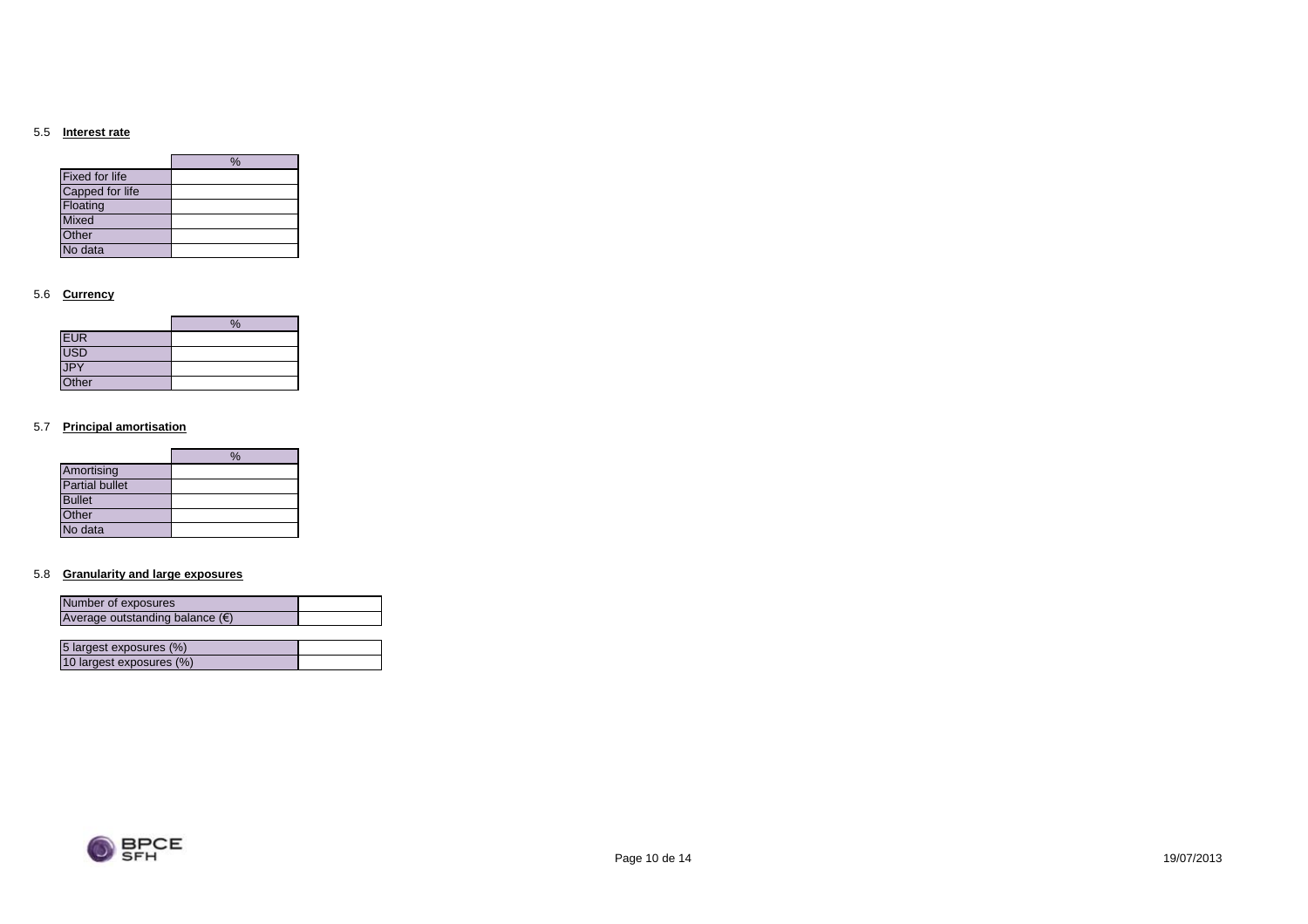#### 5.5 **Interest rate**

|                       | $\%$ |
|-----------------------|------|
| <b>Fixed for life</b> |      |
| Capped for life       |      |
| Floating              |      |
| <b>Mixed</b>          |      |
| Other                 |      |
| No data               |      |

#### 5.6 **Currency**

|            | % |
|------------|---|
| <b>EUR</b> |   |
| USD        |   |
| JPY        |   |
| Other      |   |

#### 5.7 **Principal amortisation**

|                       | $\frac{0}{6}$ |
|-----------------------|---------------|
| Amortising            |               |
| <b>Partial bullet</b> |               |
| <b>Bullet</b>         |               |
| Other                 |               |
| No data               |               |

#### 5.8 **Granularity and large exposures**

10 largest exposures (%)

| Number of exposures                      |  |
|------------------------------------------|--|
| Average outstanding balance $(\epsilon)$ |  |
|                                          |  |
| 5 largest exposures (%)                  |  |

| <b>BPCF</b><br>SEH |
|--------------------|
|                    |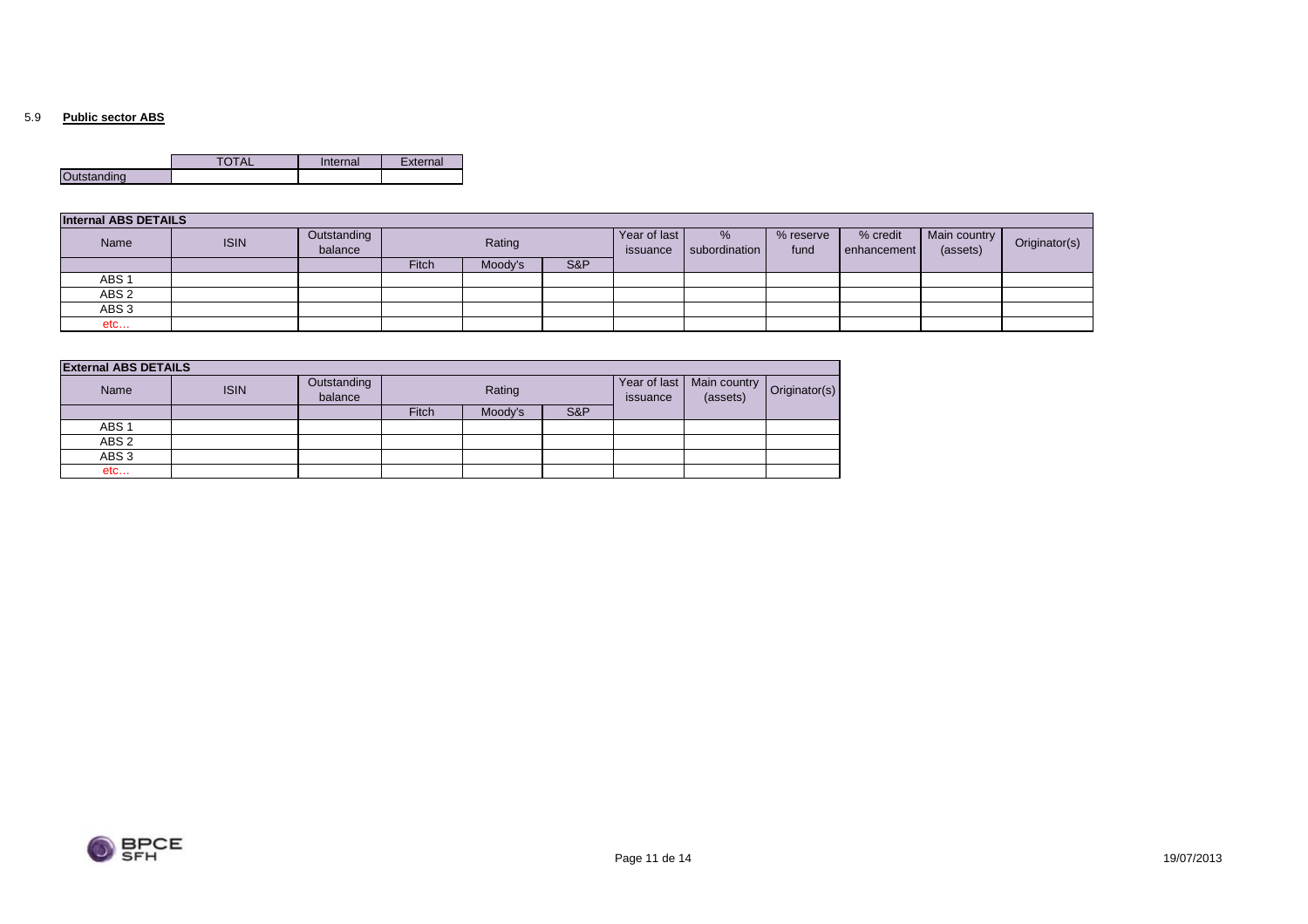#### 5.9 **Public sector ABS**

|             | Internal | External |
|-------------|----------|----------|
| Outstanding |          |          |

| <b>Internal ABS DETAILS</b> |             |                        |        |         |                          |                    |                   |                         |                          |               |  |
|-----------------------------|-------------|------------------------|--------|---------|--------------------------|--------------------|-------------------|-------------------------|--------------------------|---------------|--|
| Name                        | <b>ISIN</b> | Outstanding<br>balance | Rating |         | Year of last<br>issuance | %<br>subordination | % reserve<br>fund | % credit<br>enhancement | Main country<br>(assets) | Originator(s) |  |
|                             |             |                        | Fitch  | Moody's | S&P                      |                    |                   |                         |                          |               |  |
| ABS <sub>1</sub>            |             |                        |        |         |                          |                    |                   |                         |                          |               |  |
| ABS <sub>2</sub>            |             |                        |        |         |                          |                    |                   |                         |                          |               |  |
| ABS <sub>3</sub>            |             |                        |        |         |                          |                    |                   |                         |                          |               |  |
| etc                         |             |                        |        |         |                          |                    |                   |                         |                          |               |  |

| <b>External ABS DETAILS</b> |             |                        |              |         |     |                          |                                          |  |
|-----------------------------|-------------|------------------------|--------------|---------|-----|--------------------------|------------------------------------------|--|
| Name                        | <b>ISIN</b> | Outstanding<br>balance | Rating       |         |     | Year of last<br>issuance | Main country   Originator(s)<br>(assets) |  |
|                             |             |                        | <b>Fitch</b> | Moody's | S&P |                          |                                          |  |
| ABS <sub>1</sub>            |             |                        |              |         |     |                          |                                          |  |
| ABS <sub>2</sub>            |             |                        |              |         |     |                          |                                          |  |
| ABS <sub>3</sub>            |             |                        |              |         |     |                          |                                          |  |
| etc                         |             |                        |              |         |     |                          |                                          |  |

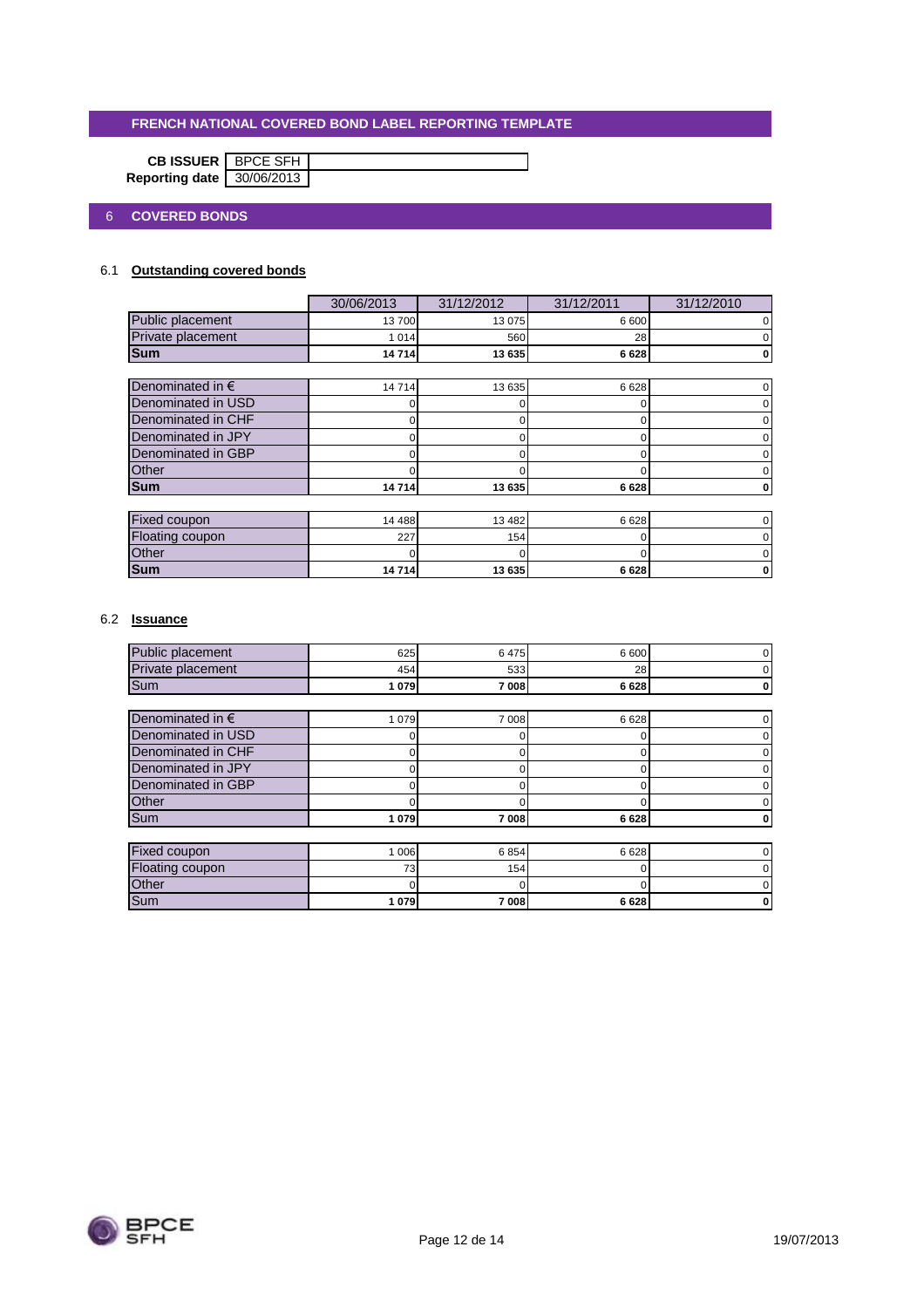| <b>CB ISSUER</b> BPCE SFH |  |
|---------------------------|--|
| Reporting date 30/06/2013 |  |

## 6 **COVERED BONDS**

## 6.1 **Outstanding covered bonds**

|                           | 30/06/2013 | 31/12/2012 | 31/12/2011 | 31/12/2010 |  |  |  |
|---------------------------|------------|------------|------------|------------|--|--|--|
| Public placement          | 13700      | 13 0 75    | 6 600      |            |  |  |  |
| Private placement         | 1 0 1 4    | 560        | 28         |            |  |  |  |
| <b>Sum</b>                | 14714      | 13 635     | 6628       | 0          |  |  |  |
|                           |            |            |            |            |  |  |  |
| Denominated in $\epsilon$ | 14714      | 13 635     | 6628       |            |  |  |  |
| Denominated in USD        |            | 0          |            |            |  |  |  |
| Denominated in CHF        |            | 0          | 0          |            |  |  |  |
| Denominated in JPY        | 0          | 0          | 0          |            |  |  |  |
| Denominated in GBP        |            | o          |            |            |  |  |  |
| Other                     |            |            |            |            |  |  |  |
| <b>Sum</b>                | 14714      | 13 635     | 6628       |            |  |  |  |
|                           |            |            |            |            |  |  |  |
| Fixed coupon              | 14 488     | 13 4 8 2   | 6628       |            |  |  |  |
| Floating coupon           | 227        | 154        | O          |            |  |  |  |
| Other                     |            | O          |            |            |  |  |  |
| <b>Sum</b>                | 14714      | 13 635     | 6628       | 0          |  |  |  |

## 6.2 **Issuance**

| Public placement          | 625     | 6475    | 6 600    |  |
|---------------------------|---------|---------|----------|--|
| Private placement         | 454     | 533     | 28       |  |
| Sum                       | 1 0 7 9 | 7 008   | 6628     |  |
|                           |         |         |          |  |
| Denominated in $\epsilon$ | 1 0 7 9 | 7 0 0 8 | 6628     |  |
| Denominated in USD        |         | n       | 0        |  |
| Denominated in CHF        | 0       |         | 0        |  |
| Denominated in JPY        | 0       |         | 0        |  |
| Denominated in GBP        | 0       |         | $\Omega$ |  |
| Other                     |         |         |          |  |
| Sum                       | 1 079   | 7008    | 6628     |  |
|                           |         |         |          |  |
| <b>Fixed coupon</b>       | 1 0 0 6 | 6854    | 6628     |  |
| Floating coupon           | 73      | 154     | 0        |  |
| Other                     |         | 0       | O        |  |
| Sum                       | 1 079   | 7008    | 6628     |  |

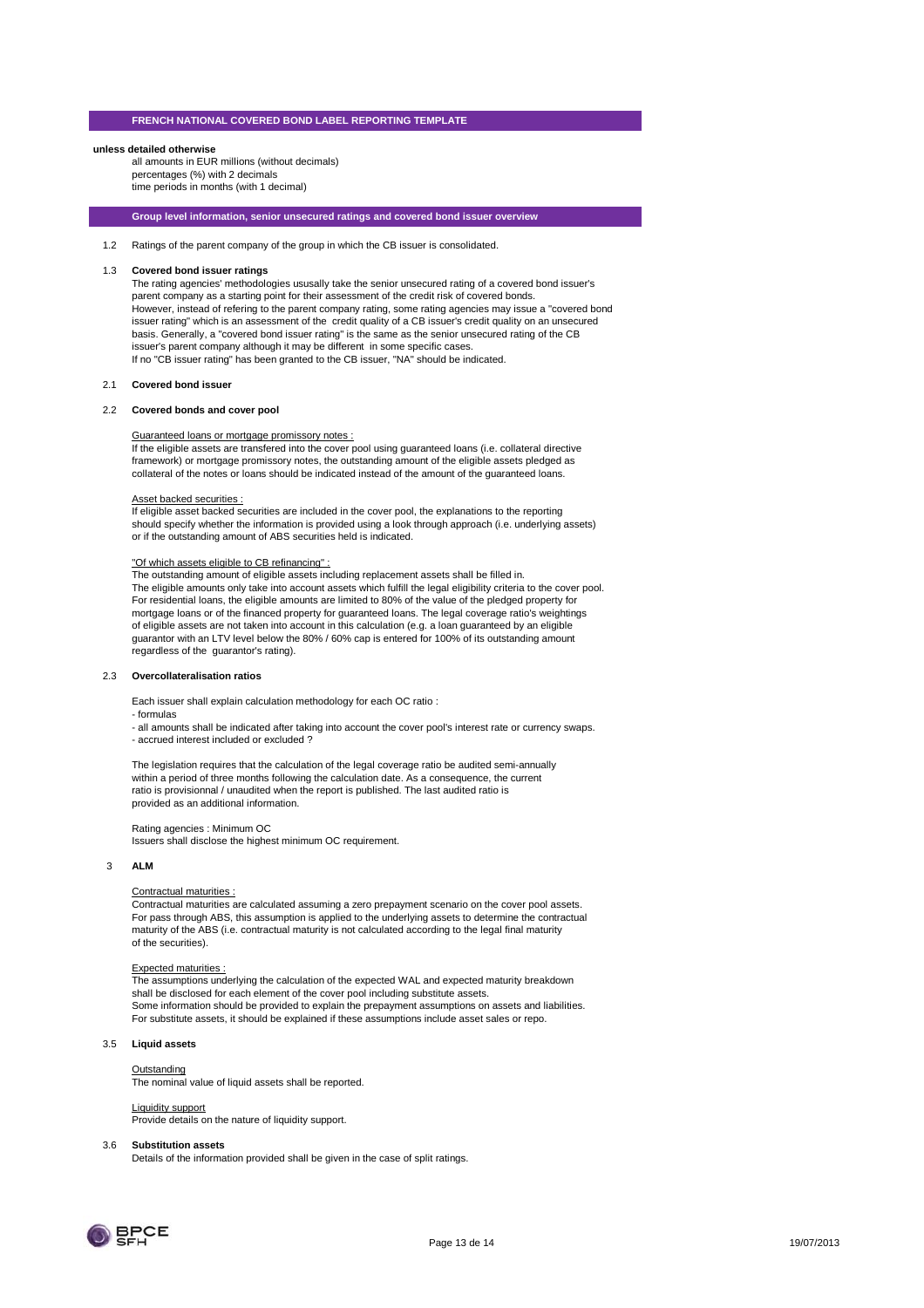#### **unless detailed otherwise**

all amounts in EUR millions (without decimals) percentages (%) with 2 decimals time periods in months (with 1 decimal)

**Group level information, senior unsecured ratings and covered bond issuer overview**

1.2 Ratings of the parent company of the group in which the CB issuer is consolidated.

#### 1.3 **Covered bond issuer ratings**

The rating agencies' methodologies ususally take the senior unsecured rating of a covered bond issuer's parent company as a starting point for their assessment of the credit risk of covered bonds. However, instead of refering to the parent company rating, some rating agencies may issue a "covered bond issuer rating" which is an assessment of the credit quality of a CB issuer's credit quality on an unsecured basis. Generally, a "covered bond issuer rating" is the same as the senior unsecured rating of the CB issuer's parent company although it may be different in some specific cases. If no "CB issuer rating" has been granted to the CB issuer, "NA" should be indicated.

#### 2.1 **Covered bond issuer**

#### 2.2 **Covered bonds and cover pool**

#### Guaranteed loans or mortgage promissory notes :

If the eligible assets are transfered into the cover pool using guaranteed loans (i.e. collateral directive framework) or mortgage promissory notes, the outstanding amount of the eligible assets pledged as collateral of the notes or loans should be indicated instead of the amount of the guaranteed loans.

#### Asset backed securities :

If eligible asset backed securities are included in the cover pool, the explanations to the reporting should specify whether the information is provided using a look through approach (i.e. underlying assets) or if the outstanding amount of ABS securities held is indicated.

#### "Of which assets eligible to CB refinancing" :

The outstanding amount of eligible assets including replacement assets shall be filled in. The eligible amounts only take into account assets which fulfill the legal eligibility criteria to the cover pool. For residential loans, the eligible amounts are limited to 80% of the value of the pledged property for mortgage loans or of the financed property for guaranteed loans. The legal coverage ratio's weightings of eligible assets are not taken into account in this calculation (e.g. a loan guaranteed by an eligible guarantor with an LTV level below the 80% / 60% cap is entered for 100% of its outstanding amount regardless of the guarantor's rating).

#### 2.3 **Overcollateralisation ratios**

Each issuer shall explain calculation methodology for each OC ratio :

- formulas

- all amounts shall be indicated after taking into account the cover pool's interest rate or currency swaps. - accrued interest included or excluded ?

The legislation requires that the calculation of the legal coverage ratio be audited semi-annually within a period of three months following the calculation date. As a consequence, the current ratio is provisionnal / unaudited when the report is published. The last audited ratio is provided as an additional information.

Rating agencies : Minimum OC Issuers shall disclose the highest minimum OC requirement.

#### 3 **ALM**

#### Contractual maturities :

Contractual maturities are calculated assuming a zero prepayment scenario on the cover pool assets. For pass through ABS, this assumption is applied to the underlying assets to determine the contractual maturity of the ABS (i.e. contractual maturity is not calculated according to the legal final maturity of the securities).

#### Expected maturities :

The assumptions underlying the calculation of the expected WAL and expected maturity breakdown shall be disclosed for each element of the cover pool including substitute assets. Some information should be provided to explain the prepayment assumptions on assets and liabilities. For substitute assets, it should be explained if these assumptions include asset sales or repo.

#### 3.5 **Liquid assets**

#### **Outstanding**

**The nominal value of liquid assets shall be reported.** 

#### Liquidity support

Provide details on the nature of liquidity support.

#### 3.6 **Substitution assets**

Details of the information provided shall be given in the case of split ratings.